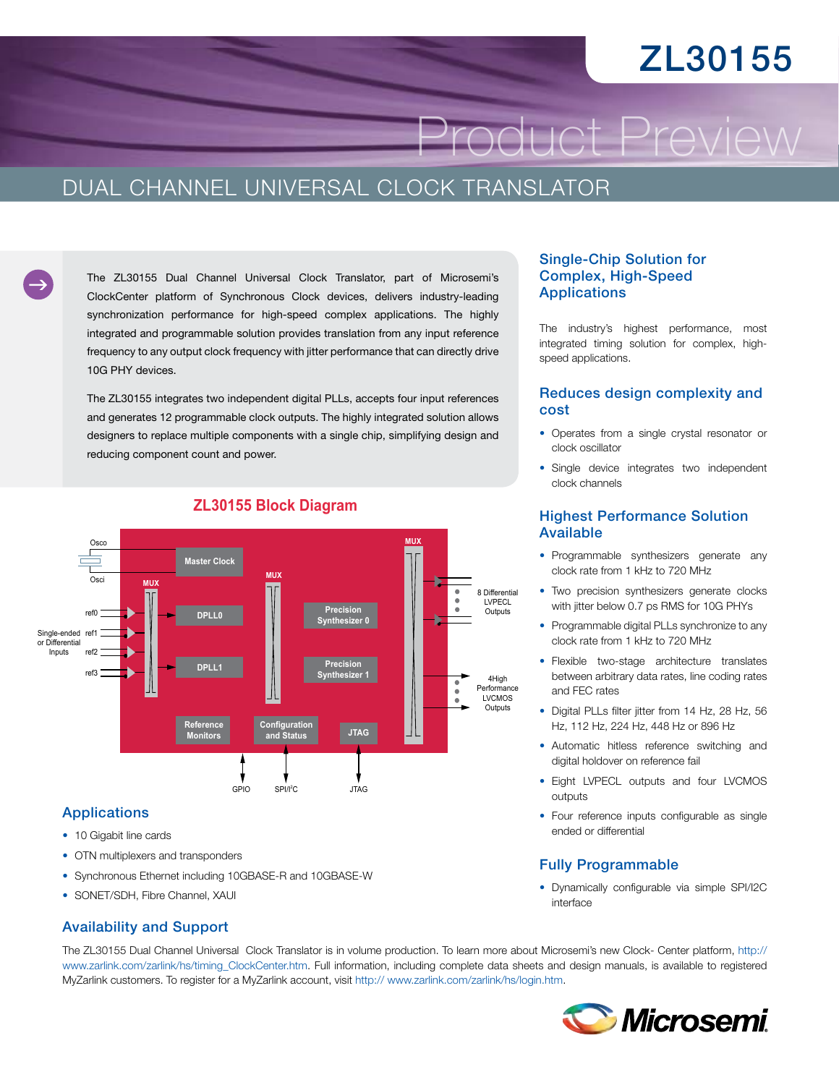# ZL30155

Product Preview

## DUAL CHANNEL UNIVERSAL CLOCK TRANSLATOR

The ZL30155 Dual Channel Universal Clock Translator, part of Microsemi's ClockCenter platform of Synchronous Clock devices, delivers industry-leading synchronization performance for high-speed complex applications. The highly integrated and programmable solution provides translation from any input reference frequency to any output clock frequency with jitter performance that can directly drive 10G PHY devices.

The ZL30155 integrates two independent digital PLLs, accepts four input references and generates 12 programmable clock outputs. The highly integrated solution allows designers to replace multiple components with a single chip, simplifying design and reducing component count and power.



### **ZL30155 Block Diagram**

#### Applications

- 10 Gigabit line cards
- OTN multiplexers and transponders
- • Synchronous Ethernet including 10GBASE-R and 10GBASE-W
- SONET/SDH, Fibre Channel, XAUI

## Single-Chip Solution for Complex, High-Speed **Applications**

The industry's highest performance, most integrated timing solution for complex, highspeed applications.

#### Reduces design complexity and cost

- • Operates from a single crystal resonator or clock oscillator
- Single device integrates two independent clock channels

#### Highest Performance Solution Available

- Programmable synthesizers generate any clock rate from 1 kHz to 720 MHz
- Two precision synthesizers generate clocks with jitter below 0.7 ps RMS for 10G PHYs
- Programmable digital PLLs synchronize to any clock rate from 1 kHz to 720 MHz
- • Flexible two-stage architecture translates between arbitrary data rates, line coding rates and FEC rates
- Digital PLLs filter jitter from 14 Hz, 28 Hz, 56 Hz, 112 Hz, 224 Hz, 448 Hz or 896 Hz
- Automatic hitless reference switching and digital holdover on reference fail
- Eight LVPECL outputs and four LVCMOS outputs
- Four reference inputs configurable as single ended or differential

#### Fully Programmable

• Dynamically configurable via simple SPI/I2C interface

#### Availability and Support

The ZL30155 Dual Channel Universal Clock Translator is in volume production. To learn more about Microsemi's new Clock- Center platform, [http://](http://www.zarlink.com/zarlink/hs/timing_ClockCenter.htm) [www.zarlink.com/zarlink/hs/timing\\_ClockCenter.htm](http://www.zarlink.com/zarlink/hs/timing_ClockCenter.htm). Full information, including complete data sheets and design manuals, is available to registered MyZarlink customers. To register for a MyZarlink account, visit [http:// www.zarlink.com/zarlink/hs/login.htm.](http:// www.zarlink.com/zarlink/hs/login.htm)